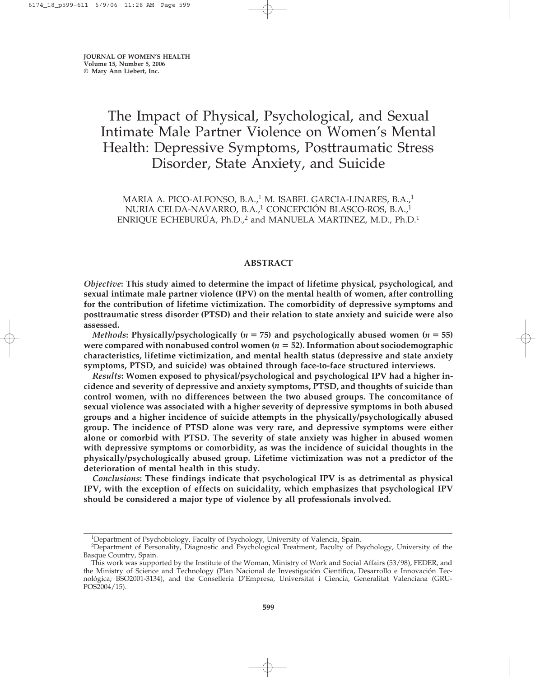# The Impact of Physical, Psychological, and Sexual Intimate Male Partner Violence on Women's Mental Health: Depressive Symptoms, Posttraumatic Stress Disorder, State Anxiety, and Suicide

MARIA A. PICO-ALFONSO, B.A.,<sup>1</sup> M. ISABEL GARCIA-LINARES, B.A.,<sup>1</sup> NURIA CELDA-NAVARRO, B.A.,1 CONCEPCIÓN BLASCO-ROS, B.A.,<sup>1</sup> ENRIQUE ECHEBURÚA, Ph.D.,<sup>2</sup> and MANUELA MARTINEZ, M.D., Ph.D.<sup>1</sup>

# **ABSTRACT**

*Objective***: This study aimed to determine the impact of lifetime physical, psychological, and sexual intimate male partner violence (IPV) on the mental health of women, after controlling for the contribution of lifetime victimization. The comorbidity of depressive symptoms and posttraumatic stress disorder (PTSD) and their relation to state anxiety and suicide were also assessed.**

*Methods*: Physically/psychologically ( $n = 75$ ) and psychologically abused women ( $n = 55$ ) were compared with nonabused control women ( $n = 52$ ). Information about sociodemographic **characteristics, lifetime victimization, and mental health status (depressive and state anxiety symptoms, PTSD, and suicide) was obtained through face-to-face structured interviews.**

*Results***: Women exposed to physical/psychological and psychological IPV had a higher incidence and severity of depressive and anxiety symptoms, PTSD, and thoughts of suicide than control women, with no differences between the two abused groups. The concomitance of sexual violence was associated with a higher severity of depressive symptoms in both abused groups and a higher incidence of suicide attempts in the physically/psychologically abused group. The incidence of PTSD alone was very rare, and depressive symptoms were either alone or comorbid with PTSD. The severity of state anxiety was higher in abused women with depressive symptoms or comorbidity, as was the incidence of suicidal thoughts in the physically/psychologically abused group. Lifetime victimization was not a predictor of the deterioration of mental health in this study.**

*Conclusions***: These findings indicate that psychological IPV is as detrimental as physical IPV, with the exception of effects on suicidality, which emphasizes that psychological IPV should be considered a major type of violence by all professionals involved.**

<sup>&</sup>lt;sup>1</sup>Department of Psychobiology, Faculty of Psychology, University of Valencia, Spain.

<sup>2</sup>Department of Personality, Diagnostic and Psychological Treatment, Faculty of Psychology, University of the Basque Country, Spain.

This work was supported by the Institute of the Woman, Ministry of Work and Social Affairs (53/98), FEDER, and the Ministry of Science and Technology (Plan Nacional de Investigación Científica, Desarrollo e Innovación Tecnológica; BSO2001-3134), and the Conselleria D'Empresa, Universitat i Ciencia, Generalitat Valenciana (GRU-POS2004/15).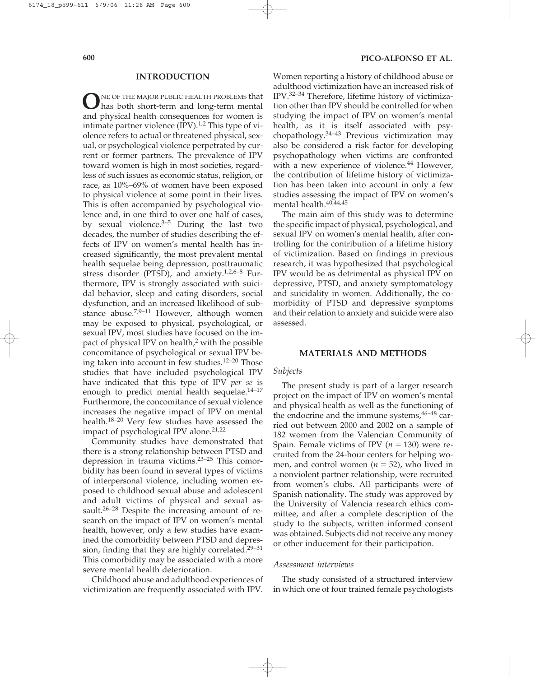## **INTRODUCTION**

**O**NE OF THE MAJOR PUBLIC HEALTH PROBLEMS that<br>has both short-term and long-term mental and physical health consequences for women is intimate partner violence  $(IPV).<sup>1,2</sup>$  This type of violence refers to actual or threatened physical, sexual, or psychological violence perpetrated by current or former partners. The prevalence of IPV toward women is high in most societies, regardless of such issues as economic status, religion, or race, as 10%–69% of women have been exposed to physical violence at some point in their lives. This is often accompanied by psychological violence and, in one third to over one half of cases, by sexual violence. $3-5$  During the last two decades, the number of studies describing the effects of IPV on women's mental health has increased significantly, the most prevalent mental health sequelae being depression, posttraumatic stress disorder (PTSD), and anxiety. $1,2,6-8$  Furthermore, IPV is strongly associated with suicidal behavior, sleep and eating disorders, social dysfunction, and an increased likelihood of substance abuse.<sup>7,9–11</sup> However, although women may be exposed to physical, psychological, or sexual IPV, most studies have focused on the impact of physical IPV on health, $2$  with the possible concomitance of psychological or sexual IPV being taken into account in few studies.12–20 Those studies that have included psychological IPV have indicated that this type of IPV *per se* is enough to predict mental health sequelae. $14-17$ Furthermore, the concomitance of sexual violence increases the negative impact of IPV on mental health.18–20 Very few studies have assessed the impact of psychological IPV alone.<sup>21,22</sup>

Community studies have demonstrated that there is a strong relationship between PTSD and depression in trauma victims.23–25 This comorbidity has been found in several types of victims of interpersonal violence, including women exposed to childhood sexual abuse and adolescent and adult victims of physical and sexual assault.<sup>26–28</sup> Despite the increasing amount of research on the impact of IPV on women's mental health, however, only a few studies have examined the comorbidity between PTSD and depression, finding that they are highly correlated.29–31 This comorbidity may be associated with a more severe mental health deterioration.

Childhood abuse and adulthood experiences of victimization are frequently associated with IPV.

Women reporting a history of childhood abuse or adulthood victimization have an increased risk of IPV.32–34 Therefore, lifetime history of victimization other than IPV should be controlled for when studying the impact of IPV on women's mental health, as it is itself associated with psychopathology.34–43 Previous victimization may also be considered a risk factor for developing psychopathology when victims are confronted with a new experience of violence.<sup>44</sup> However, the contribution of lifetime history of victimization has been taken into account in only a few studies assessing the impact of IPV on women's mental health.<sup>40,44,45</sup>

The main aim of this study was to determine the specific impact of physical, psychological, and sexual IPV on women's mental health, after controlling for the contribution of a lifetime history of victimization. Based on findings in previous research, it was hypothesized that psychological IPV would be as detrimental as physical IPV on depressive, PTSD, and anxiety symptomatology and suicidality in women. Additionally, the comorbidity of PTSD and depressive symptoms and their relation to anxiety and suicide were also assessed.

# **MATERIALS AND METHODS**

#### *Subjects*

The present study is part of a larger research project on the impact of IPV on women's mental and physical health as well as the functioning of the endocrine and the immune systems,  $46-48$  carried out between 2000 and 2002 on a sample of 182 women from the Valencian Community of Spain. Female victims of IPV  $(n = 130)$  were recruited from the 24-hour centers for helping women, and control women  $(n = 52)$ , who lived in a nonviolent partner relationship, were recruited from women's clubs. All participants were of Spanish nationality. The study was approved by the University of Valencia research ethics committee, and after a complete description of the study to the subjects, written informed consent was obtained. Subjects did not receive any money or other inducement for their participation.

#### *Assessment interviews*

The study consisted of a structured interview in which one of four trained female psychologists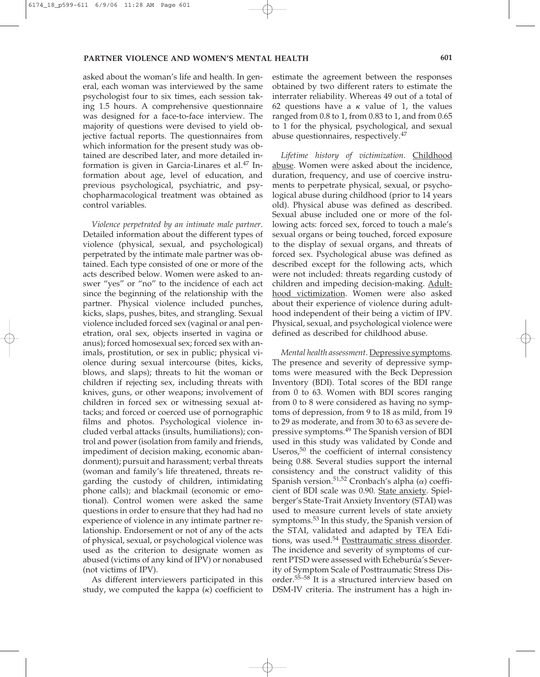asked about the woman's life and health. In general, each woman was interviewed by the same psychologist four to six times, each session taking 1.5 hours. A comprehensive questionnaire was designed for a face-to-face interview. The majority of questions were devised to yield objective factual reports. The questionnaires from which information for the present study was obtained are described later, and more detailed information is given in Garcia-Linares et al. $47$  Information about age, level of education, and previous psychological, psychiatric, and psychopharmacological treatment was obtained as control variables.

*Violence perpetrated by an intimate male partner*. Detailed information about the different types of violence (physical, sexual, and psychological) perpetrated by the intimate male partner was obtained. Each type consisted of one or more of the acts described below. Women were asked to answer "yes" or "no" to the incidence of each act since the beginning of the relationship with the partner. Physical violence included punches, kicks, slaps, pushes, bites, and strangling. Sexual violence included forced sex (vaginal or anal penetration, oral sex, objects inserted in vagina or anus); forced homosexual sex; forced sex with animals, prostitution, or sex in public; physical violence during sexual intercourse (bites, kicks, blows, and slaps); threats to hit the woman or children if rejecting sex, including threats with knives, guns, or other weapons; involvement of children in forced sex or witnessing sexual attacks; and forced or coerced use of pornographic films and photos. Psychological violence included verbal attacks (insults, humiliations); control and power (isolation from family and friends, impediment of decision making, economic abandonment); pursuit and harassment; verbal threats (woman and family's life threatened, threats regarding the custody of children, intimidating phone calls); and blackmail (economic or emotional). Control women were asked the same questions in order to ensure that they had had no experience of violence in any intimate partner relationship. Endorsement or not of any of the acts of physical, sexual, or psychological violence was used as the criterion to designate women as abused (victims of any kind of IPV) or nonabused (not victims of IPV).

As different interviewers participated in this study, we computed the kappa (*k*) coefficient to

estimate the agreement between the responses obtained by two different raters to estimate the interrater reliability. Whereas 49 out of a total of 62 questions have a  $\kappa$  value of 1, the values ranged from 0.8 to 1, from 0.83 to 1, and from 0.65 to 1 for the physical, psychological, and sexual abuse questionnaires, respectively.<sup>47</sup>

*Lifetime history of victimization*. Childhood abuse. Women were asked about the incidence, duration, frequency, and use of coercive instruments to perpetrate physical, sexual, or psychological abuse during childhood (prior to 14 years old). Physical abuse was defined as described. Sexual abuse included one or more of the following acts: forced sex, forced to touch a male's sexual organs or being touched, forced exposure to the display of sexual organs, and threats of forced sex. Psychological abuse was defined as described except for the following acts, which were not included: threats regarding custody of children and impeding decision-making. Adulthood victimization. Women were also asked about their experience of violence during adulthood independent of their being a victim of IPV. Physical, sexual, and psychological violence were defined as described for childhood abuse.

*Mental health assessment*. Depressive symptoms. The presence and severity of depressive symptoms were measured with the Beck Depression Inventory (BDI). Total scores of the BDI range from 0 to 63. Women with BDI scores ranging from 0 to 8 were considered as having no symptoms of depression, from 9 to 18 as mild, from 19 to 29 as moderate, and from 30 to 63 as severe depressive symptoms.<sup>49</sup> The Spanish version of BDI used in this study was validated by Conde and Useros,<sup>50</sup> the coefficient of internal consistency being 0.88. Several studies support the internal consistency and the construct validity of this Spanish version.<sup>51,52</sup> Cronbach's alpha ( $\alpha$ ) coefficient of BDI scale was 0.90. State anxiety. Spielberger's State-Trait Anxiety Inventory (STAI) was used to measure current levels of state anxiety symptoms.<sup>53</sup> In this study, the Spanish version of the STAI, validated and adapted by TEA Editions, was used.<sup>54</sup> Posttraumatic stress disorder. The incidence and severity of symptoms of current PTSD were assessed with Echeburúa's Severity of Symptom Scale of Posttraumatic Stress Disorder.55–58 It is a structured interview based on DSM-IV criteria. The instrument has a high in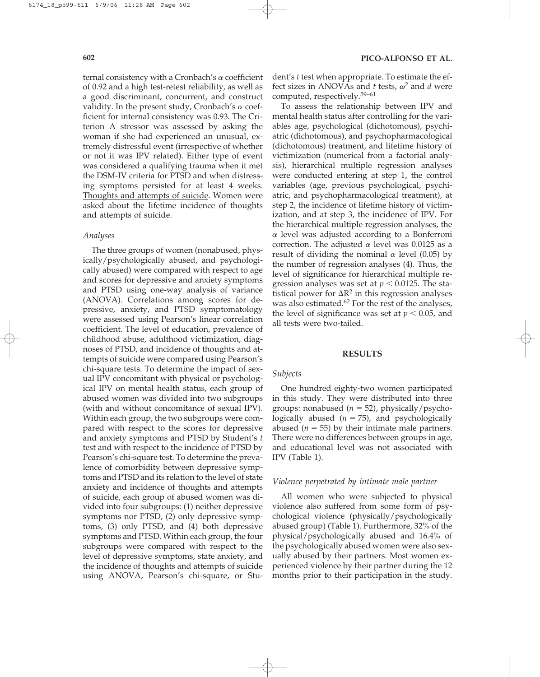ternal consistency with a Cronbach's  $\alpha$  coefficient of 0.92 and a high test-retest reliability, as well as a good discriminant, concurrent, and construct validity. In the present study, Cronbach's  $\alpha$  coefficient for internal consistency was 0.93. The Criterion A stressor was assessed by asking the woman if she had experienced an unusual, extremely distressful event (irrespective of whether or not it was IPV related). Either type of event was considered a qualifying trauma when it met the DSM-IV criteria for PTSD and when distressing symptoms persisted for at least 4 weeks. Thoughts and attempts of suicide. Women were asked about the lifetime incidence of thoughts and attempts of suicide.

#### *Analyses*

The three groups of women (nonabused, physically/psychologically abused, and psychologically abused) were compared with respect to age and scores for depressive and anxiety symptoms and PTSD using one-way analysis of variance (ANOVA). Correlations among scores for depressive, anxiety, and PTSD symptomatology were assessed using Pearson's linear correlation coefficient. The level of education, prevalence of childhood abuse, adulthood victimization, diagnoses of PTSD, and incidence of thoughts and attempts of suicide were compared using Pearson's chi-square tests. To determine the impact of sexual IPV concomitant with physical or psychological IPV on mental health status, each group of abused women was divided into two subgroups (with and without concomitance of sexual IPV). Within each group, the two subgroups were compared with respect to the scores for depressive and anxiety symptoms and PTSD by Student's *t* test and with respect to the incidence of PTSD by Pearson's chi-square test. To determine the prevalence of comorbidity between depressive symptoms and PTSD and its relation to the level of state anxiety and incidence of thoughts and attempts of suicide, each group of abused women was divided into four subgroups: (1) neither depressive symptoms nor PTSD, (2) only depressive symptoms, (3) only PTSD, and (4) both depressive symptoms and PTSD. Within each group, the four subgroups were compared with respect to the level of depressive symptoms, state anxiety, and the incidence of thoughts and attempts of suicide using ANOVA, Pearson's chi-square, or Stu-

**602 PICO-ALFONSO ET AL.**

dent's *t* test when appropriate. To estimate the effect sizes in ANOVAs and *t* tests,  $\omega^2$  and *d* were computed, respectively.59–61

To assess the relationship between IPV and mental health status after controlling for the variables age, psychological (dichotomous), psychiatric (dichotomous), and psychopharmacological (dichotomous) treatment, and lifetime history of victimization (numerical from a factorial analysis), hierarchical multiple regression analyses were conducted entering at step 1, the control variables (age, previous psychological, psychiatric, and psychopharmacological treatment), at step 2, the incidence of lifetime history of victimization, and at step 3, the incidence of IPV. For the hierarchical multiple regression analyses, the  $\alpha$  level was adjusted according to a Bonferroni correction. The adjusted  $\alpha$  level was 0.0125 as a result of dividing the nominal  $\alpha$  level (0.05) by the number of regression analyses (4). Thus, the level of significance for hierarchical multiple regression analyses was set at  $p < 0.0125$ . The statistical power for  $\Delta R^2$  in this regression analyses was also estimated.<sup>62</sup> For the rest of the analyses, the level of significance was set at  $p < 0.05$ , and all tests were two-tailed.

### **RESULTS**

#### *Subjects*

One hundred eighty-two women participated in this study. They were distributed into three groups: nonabused  $(n = 52)$ , physically/psychologically abused  $(n = 75)$ , and psychologically abused ( $n = 55$ ) by their intimate male partners. There were no differences between groups in age, and educational level was not associated with IPV (Table 1).

#### *Violence perpetrated by intimate male partner*

All women who were subjected to physical violence also suffered from some form of psychological violence (physically/psychologically abused group) (Table 1). Furthermore, 32% of the physical/psychologically abused and 16.4% of the psychologically abused women were also sexually abused by their partners. Most women experienced violence by their partner during the 12 months prior to their participation in the study.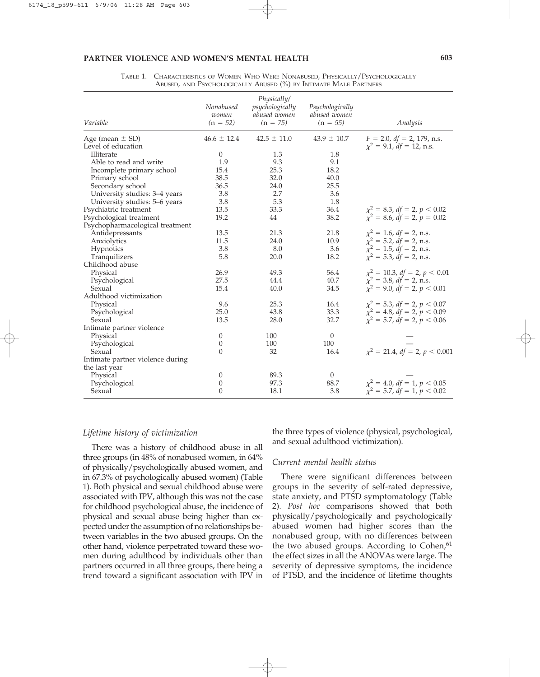## **PARTNER VIOLENCE AND WOMEN'S MENTAL HEALTH 603**

| Variable                         | Nonabused<br>women<br>$(n = 52)$ | Physically/<br>psychologically<br>abused women<br>$(n = 75)$ | Psychologically<br>abused women<br>$(n = 55)$ | Analysis                                 |
|----------------------------------|----------------------------------|--------------------------------------------------------------|-----------------------------------------------|------------------------------------------|
| Age (mean $\pm$ SD)              | $46.6 \pm 12.4$                  | $42.5 \pm 11.0$                                              | $43.9 \pm 10.7$                               | $F = 2.0$ , $df = 2$ , 179, n.s.         |
| Level of education               |                                  |                                                              |                                               | $\chi^2 = 9.1$ , df = 12, n.s.           |
| Illiterate                       | $\theta$                         | 1.3                                                          | 1.8                                           |                                          |
| Able to read and write           | 1.9                              | 9.3                                                          | 9.1                                           |                                          |
| Incomplete primary school        | 15.4                             | 25.3                                                         | 18.2                                          |                                          |
| Primary school                   | 38.5                             | 32.0                                                         | 40.0                                          |                                          |
| Secondary school                 | 36.5                             | 24.0                                                         | 25.5                                          |                                          |
| University studies: 3-4 years    | 3.8                              | 2.7                                                          | 3.6                                           |                                          |
| University studies: 5-6 years    | 3.8                              | 5.3                                                          | 1.8                                           |                                          |
| Psychiatric treatment            | 13.5                             | 33.3                                                         | 36.4                                          | $\chi^2 = 8.3$ , df = 2, p < 0.02        |
| Psychological treatment          | 19.2                             | 44                                                           | 38.2                                          | $\chi^2 = 8.6$ , $df = 2$ , $p = 0.02$   |
| Psychopharmacological treatment  |                                  |                                                              |                                               |                                          |
| Antidepressants                  | 13.5                             | 21.3                                                         | 21.8                                          | $x^2 = 1.6$ , df = 2, n.s.               |
| Anxiolytics                      | 11.5                             | 24.0                                                         | 10.9                                          | $\chi^2 = 5.2$ , $df = 2$ , n.s.         |
| Hypnotics                        | 3.8                              | 8.0                                                          | 3.6                                           | $\chi^2 = 1.5$ , df = 2, n.s.            |
| Tranquilizers                    | 5.8                              | 20.0                                                         | 18.2                                          | $\tilde{\chi}^2 = 5.3$ , $df = 2$ , n.s. |
| Childhood abuse                  |                                  |                                                              |                                               |                                          |
| Physical                         | 26.9                             | 49.3                                                         | 56.4                                          | $\chi^2 = 10.3$ , df = 2, p < 0.01       |
| Psychological                    | 27.5                             | 44.4                                                         | 40.7                                          | $\chi^2 = 3.8$ , df = 2, n.s.            |
| Sexual                           | 15.4                             | 40.0                                                         | 34.5                                          | $\chi^2 = 9.0$ , $df = 2$ , $p < 0.01$   |
| Adulthood victimization          |                                  |                                                              |                                               |                                          |
| Physical                         | 9.6                              | 25.3                                                         | 16.4                                          | $\chi^2 = 5.3$ , df = 2, p < 0.07        |
| Psychological                    | 25.0                             | 43.8                                                         | 33.3                                          | $\chi^2 = 4.8$ , $df = 2$ , $p < 0.09$   |
| Sexual                           | 13.5                             | 28.0                                                         | 32.7                                          | $\chi^2 = 5.7$ , $df = 2$ , $p < 0.06$   |
| Intimate partner violence        |                                  |                                                              |                                               |                                          |
| Physical                         | 0                                | 100                                                          | $\theta$                                      |                                          |
| Psychological                    | 0                                | 100                                                          | 100                                           |                                          |
| Sexual                           | $\Omega$                         | 32                                                           | 16.4                                          | $\chi^2 = 21.4$ , df = 2, p < 0.001      |
| Intimate partner violence during |                                  |                                                              |                                               |                                          |
| the last year                    |                                  |                                                              |                                               |                                          |
| Physical                         | 0                                | 89.3                                                         | $\theta$                                      |                                          |
| Psychological                    | $\overline{0}$                   | 97.3                                                         | 88.7                                          | $\chi^2 = 4.0$ , $df = 1$ , $p < 0.05$   |
| Sexual                           | $\Omega$                         | 18.1                                                         | 3.8                                           | $\chi^2 = 5.7$ , $df = 1$ , $p < 0.02$   |

TABLE 1. CHARACTERISTICS OF WOMEN WHO WERE NONABUSED, PHYSICALLY/PSYCHOLOGICALLY ABUSED, AND PSYCHOLOGICALLY ABUSED (%) BY INTIMATE MALE PARTNERS

# *Lifetime history of victimization*

There was a history of childhood abuse in all three groups (in 48% of nonabused women, in 64% of physically/psychologically abused women, and in 67.3% of psychologically abused women) (Table 1). Both physical and sexual childhood abuse were associated with IPV, although this was not the case for childhood psychological abuse, the incidence of physical and sexual abuse being higher than expected under the assumption of no relationships between variables in the two abused groups. On the other hand, violence perpetrated toward these women during adulthood by individuals other than partners occurred in all three groups, there being a trend toward a significant association with IPV in

the three types of violence (physical, psychological, and sexual adulthood victimization).

## *Current mental health status*

There were significant differences between groups in the severity of self-rated depressive, state anxiety, and PTSD symptomatology (Table 2). *Post hoc* comparisons showed that both physically/psychologically and psychologically abused women had higher scores than the nonabused group, with no differences between the two abused groups. According to Cohen, $61$ the effect sizes in all the ANOVAs were large. The severity of depressive symptoms, the incidence of PTSD, and the incidence of lifetime thoughts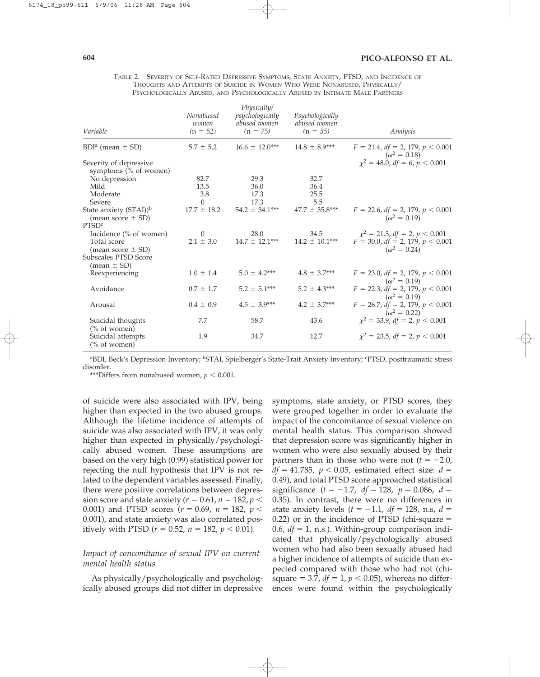TABLE 2. SEVERITY OF SELF-RATED DEPRESSIVE SYMPTOMS, STATE ANXIETY, PTSD, AND INCIDENCE OF THOUGHTS AND ATTEMPTS OF SUICIDE IN WOMEN WHO WERE NONABUSED, PHYSICALLY/ PSYCHOLOGICALLY ABUSED, AND PSYCHOLOGICALLY ABUSED BY INTIMATE MALE PARTNERS

| Variable                                                                               | Nonabused<br>women<br>$(n = 52)$ | Physically/<br>psychologically<br>abused women<br>$(n = 75)$ | Psychologically<br>abused women<br>$(n = 55)$ | Analysis                                                                                               |
|----------------------------------------------------------------------------------------|----------------------------------|--------------------------------------------------------------|-----------------------------------------------|--------------------------------------------------------------------------------------------------------|
| $BDIa$ (mean $\pm$ SD)                                                                 | $5.7 \pm 5.2$                    | $16.6 \pm 12.0***$                                           | $14.8 \pm 8.9***$                             | $F = 21.4$ , $df = 2$ , 179, $p < 0.001$<br>$(\omega^2 = 0.18)$                                        |
| Severity of depressive<br>symptoms (% of women)                                        |                                  |                                                              |                                               | $x^2 = 48.0$ , $df = 6$ , $p < 0.001$                                                                  |
| No depression<br>Mild<br>Moderate<br>Severe                                            | 82.7<br>13.5<br>3.8              | 29.3<br>36.0<br>17.3<br>17.3                                 | 32.7<br>36.4<br>25.5<br>5.5                   |                                                                                                        |
| State anxiety (STAI)) <sup>b</sup><br>(mean score $\pm$ SD)<br>PTSD <sup>c</sup>       | $\left($<br>$17.7 \pm 18.2$      | $54.2 \pm 34.1***$                                           | $47.7 \pm 35.8***$                            | $F = 22.6$ , $df = 2$ , 179, $p < 0.001$<br>$(\omega^2 = 0.19)$                                        |
| Incidence (% of women)<br>Total score<br>(mean score $\pm$ SD)<br>Subscales PTSD Score | $\Omega$<br>$2.1 \pm 3.0$        | 28.0<br>$14.7 \pm 12.1***$                                   | 34.5<br>$14.2 \pm 10.1***$                    | $\chi^2 = 21.3$ , df = 2, p < 0.001<br>$F = 30.0$ , $df = 2$ , 179, $p < 0.001$<br>$(\omega^2 = 0.24)$ |
| $mean \pm SD$<br>Reexperiencing                                                        | $1.0 \pm 1.4$                    | $5.0 \pm 4.2***$                                             | $4.8 \pm 3.7***$                              | $F = 23.0$ , $df = 2$ , 179, $p < 0.001$<br>$(\omega^2 = 0.19)$                                        |
| Avoidance                                                                              | $0.7 \pm 1.7$                    | $5.2 \pm 5.1***$                                             | $5.2 \pm 4.3***$                              | $F = 22.3$ , $df = 2$ , 179, $p < 0.001$<br>$(\omega^2 = 0.19)$                                        |
| Arousal                                                                                | $0.4 \pm 0.9$                    | $4.5 \pm 3.9***$                                             | $4.2 \pm 3.7***$                              | $F = 26.7$ , $df = 2$ , 179, $p < 0.001$<br>$(\omega^2 = 0.22)$                                        |
| Suicidal thoughts<br>$(\%$ of women)                                                   | 7.7                              | 58.7                                                         | 43.6                                          | $\chi^2 = 33.9$ , df = 2, p < 0.001                                                                    |
| Suicidal attempts<br>$\frac{6}{6}$ of women)                                           | 1.9                              | 34.7                                                         | 12.7                                          | $\chi^2 = 23.5$ , df = 2, p < 0.001                                                                    |

<sup>a</sup>BDI, Beck's Depression Inventory; <sup>b</sup>STAI, Spielberger's State-Trait Anxiety Inventory; <sup>c</sup>PTSD, posttraumatic stress disorder.

\*\*\*Differs from nonabused women,  $p < 0.001$ .

of suicide were also associated with IPV, being higher than expected in the two abused groups. Although the lifetime incidence of attempts of suicide was also associated with IPV, it was only higher than expected in physically/psychologically abused women. These assumptions are based on the very high (0.99) statistical power for rejecting the null hypothesis that IPV is not related to the dependent variables assessed. Finally, there were positive correlations between depres- $\frac{1}{2}$  sion score and state anxiety ( $r = 0.61$ ,  $n = 182$ ,  $p <$ 0.001) and PTSD scores ( $r = 0.69$ ,  $n = 182$ ,  $p <$ 0.001), and state anxiety was also correlated positively with PTSD ( $r = 0.52$ ,  $n = 182$ ,  $p < 0.01$ ).

# *Impact of concomitance of sexual IPV on current mental health status*

As physically/psychologically and psychologically abused groups did not differ in depressive symptoms, state anxiety, or PTSD scores, they were grouped together in order to evaluate the impact of the concomitance of sexual violence on mental health status. This comparison showed that depression score was significantly higher in women who were also sexually abused by their partners than in those who were not  $(t = -2.0,$  $df = 41.785$ ,  $p < 0.05$ , estimated effect size:  $d =$ 0.49), and total PTSD score approached statistical significance  $(t = -1.7, df = 128, p = 0.086, d =$ 0.35). In contrast, there were no differences in state anxiety levels  $(t = -1.1, df = 128, n.s., d =$  $0.22$ ) or in the incidence of PTSD (chi-square  $=$ 0.6,  $df = 1$ , n.s.). Within-group comparison indicated that physically/psychologically abused women who had also been sexually abused had a higher incidence of attempts of suicide than expected compared with those who had not (chisquare  $= 3.7$ ,  $df = 1$ ,  $p < 0.05$ ), whereas no differences were found within the psychologically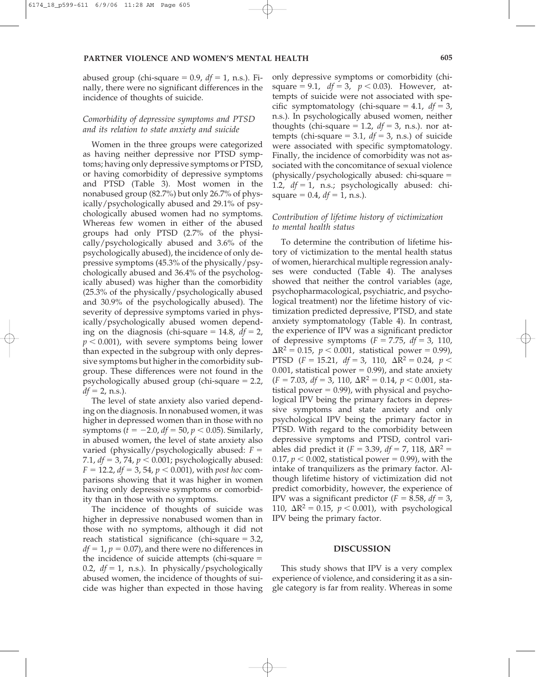abused group (chi-square  $= 0.9$ ,  $df = 1$ , n.s.). Finally, there were no significant differences in the incidence of thoughts of suicide.

# *Comorbidity of depressive symptoms and PTSD and its relation to state anxiety and suicide*

Women in the three groups were categorized as having neither depressive nor PTSD symptoms; having only depressive symptoms or PTSD, or having comorbidity of depressive symptoms and PTSD (Table 3). Most women in the nonabused group (82.7%) but only 26.7% of physically/psychologically abused and 29.1% of psychologically abused women had no symptoms. Whereas few women in either of the abused groups had only PTSD (2.7% of the physically/psychologically abused and 3.6% of the psychologically abused), the incidence of only depressive symptoms (45.3% of the physically/psychologically abused and 36.4% of the psychologically abused) was higher than the comorbidity (25.3% of the physically/psychologically abused and 30.9% of the psychologically abused). The severity of depressive symptoms varied in physically/psychologically abused women depending on the diagnosis (chi-square  $= 14.8$ ,  $df = 2$ ,  $p < 0.001$ ), with severe symptoms being lower than expected in the subgroup with only depressive symptoms but higher in the comorbidity subgroup. These differences were not found in the psychologically abused group (chi-square = 2.2,  $df = 2, n.s.).$ 

The level of state anxiety also varied depending on the diagnosis. In nonabused women, it was higher in depressed women than in those with no symptoms ( $t = -2.0$ ,  $df = 50$ ,  $p < 0.05$ ). Similarly, in abused women, the level of state anxiety also varied (physically/psychologically abused:  $F =$ 7.1,  $df = 3$ , 74,  $p < 0.001$ ; psychologically abused:  $F = 12.2$ ,  $df = 3$ , 54,  $p < 0.001$ ), with *post hoc* comparisons showing that it was higher in women having only depressive symptoms or comorbidity than in those with no symptoms.

The incidence of thoughts of suicide was higher in depressive nonabused women than in those with no symptoms, although it did not reach statistical significance (chi-square = 3.2,  $df = 1$ ,  $p = 0.07$ ), and there were no differences in the incidence of suicide attempts (chi-square = 0.2,  $df = 1$ , n.s.). In physically/psychologically abused women, the incidence of thoughts of suicide was higher than expected in those having

only depressive symptoms or comorbidity (chisquare = 9.1,  $df = 3$ ,  $p < 0.03$ ). However, attempts of suicide were not associated with specific symptomatology (chi-square  $= 4.1$ ,  $df = 3$ , n.s.). In psychologically abused women, neither thoughts (chi-square  $= 1.2$ ,  $df = 3$ , n.s.). nor attempts (chi-square  $= 3.1$ ,  $df = 3$ , n.s.) of suicide were associated with specific symptomatology. Finally, the incidence of comorbidity was not associated with the concomitance of sexual violence (physically/psychologically abused: chi-square - 1.2, *df* = 1, n.s.; psychologically abused: chisquare  $= 0.4$ ,  $df = 1$ , n.s.).

# *Contribution of lifetime history of victimization to mental health status*

To determine the contribution of lifetime history of victimization to the mental health status of women, hierarchical multiple regression analyses were conducted (Table 4). The analyses showed that neither the control variables (age, psychopharmacological, psychiatric, and psychological treatment) nor the lifetime history of victimization predicted depressive, PTSD, and state anxiety symptomatology (Table 4). In contrast, the experience of IPV was a significant predictor of depressive symptoms  $(F = 7.75, df = 3, 110,$  $\Delta R^2 = 0.15$ ,  $p < 0.001$ , statistical power = 0.99), PTSD ( $F = 15.21$ ,  $df = 3$ , 110,  $\Delta R^2 = 0.24$ ,  $p <$  $0.001$ , statistical power =  $0.99$ ), and state anxiety  $(F = 7.03, df = 3, 110, \Delta R^2 = 0.14, p < 0.001,$  sta $t$  istical power = 0.99), with physical and psychological IPV being the primary factors in depressive symptoms and state anxiety and only psychological IPV being the primary factor in PTSD. With regard to the comorbidity between depressive symptoms and PTSD, control variables did predict it  $(F = 3.39, df = 7, 118, \Delta R^2 =$  $0.17$ ,  $p < 0.002$ , statistical power = 0.99), with the intake of tranquilizers as the primary factor. Although lifetime history of victimization did not predict comorbidity, however, the experience of IPV was a significant predictor  $(F = 8.58, df = 3,$ 110,  $\Delta R^2 = 0.15$ ,  $p < 0.001$ ), with psychological IPV being the primary factor.

#### **DISCUSSION**

This study shows that IPV is a very complex experience of violence, and considering it as a single category is far from reality. Whereas in some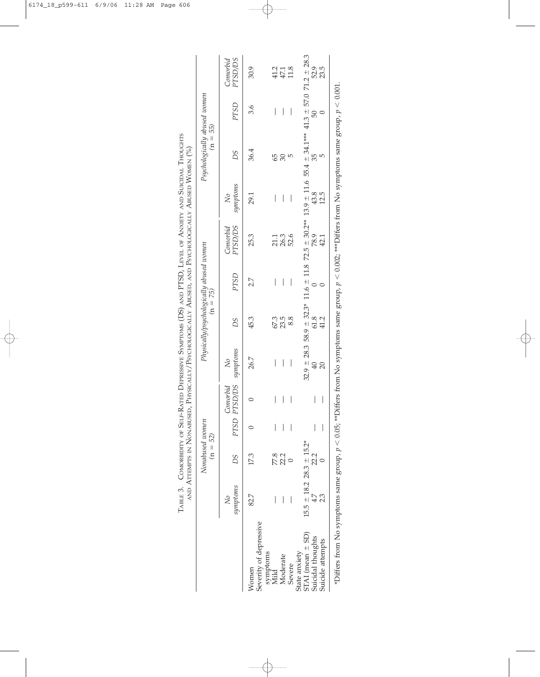|                                          |                                  | Nonabused women<br>$(n = 52)$ |                          |                                |                          | Physically/psychologically abused women<br>$(n = 75)$ |      |                                                                                                                                      |                          | Psychologically abused women<br>$(n = 55)$ |      |                            |
|------------------------------------------|----------------------------------|-------------------------------|--------------------------|--------------------------------|--------------------------|-------------------------------------------------------|------|--------------------------------------------------------------------------------------------------------------------------------------|--------------------------|--------------------------------------------|------|----------------------------|
|                                          | symptoms<br>$\overline{N}$       | DS                            | PTSD PTSD/DS             | Comorbid                       | symptoms<br>$\aleph$     | DS                                                    | PTSD | <b>PTSD/DS</b><br>Comorbid                                                                                                           | symptoms<br>$\aleph$     | SC                                         | PTSD | <b>PTSD/DS</b><br>Conorbid |
| Severity of depressive<br>Women          | 82.7                             | 17.3                          |                          |                                | 26.7                     | 45.3                                                  | 2.7  | 25.3                                                                                                                                 | 29.1                     | 36.4                                       | 3.6  | 30.9                       |
| symptoms<br>Mild                         |                                  |                               |                          | $\begin{array}{c} \end{array}$ | $\overline{\phantom{a}}$ |                                                       | I    |                                                                                                                                      | $\overline{\phantom{a}}$ | 65                                         | I    |                            |
| Moderate                                 | I                                | 77.8<br>22.2                  |                          | $\overline{\phantom{a}}$       | I                        | 67.3<br>23.5                                          |      | 21.1<br>26.3                                                                                                                         |                          | $\mathcal{S}$                              | I    | $47.1$<br>$47.1$<br>$11.8$ |
| Severe                                   |                                  |                               |                          |                                | I                        | 8.8                                                   |      | 52.6                                                                                                                                 | I                        | 5                                          |      |                            |
| $STAI$ (mean $\pm SD$ )<br>State anxiety | $15.5 \pm 18.2$ 28.3 $\pm$ 15.2* |                               |                          |                                |                          |                                                       |      | $32.9 \pm 28.3$ 58.9 $\pm$ 32.3* 11.6 $\pm$ 11.8 72.5 $\pm$ 30.2** 13.9 $\pm$ 11.6 55.4 $\pm$ 34.1** 41.3 $\pm$ 57.0 71.2 $\pm$ 28.3 |                          |                                            |      |                            |
| Suicidal thoughts                        |                                  | 22.2                          |                          |                                | $\overline{4}$           | 61.8                                                  |      | 78.9                                                                                                                                 | 43.8                     | 35                                         | 50   | 52.9                       |
| Suicide attempts                         |                                  |                               | $\overline{\phantom{a}}$ |                                | 20                       | 41.2                                                  |      | 42.1                                                                                                                                 | 12.5                     |                                            |      | 23.5                       |

TABLE 3. COMORBIDITY OF SELF-RATED DEPRESSIVE SYMPTOMS (DS) AND PTSD, LEVEL OF ANXIETY AND SUICIDAL THOUGHTS TABLE 3. COMORBIDITY OF SELF-RATED DEPRESSIVE SYMPTOMS (DS) AND PTSD, LEVEL OF ANXIETY AND SUICIDAL THOUGHTS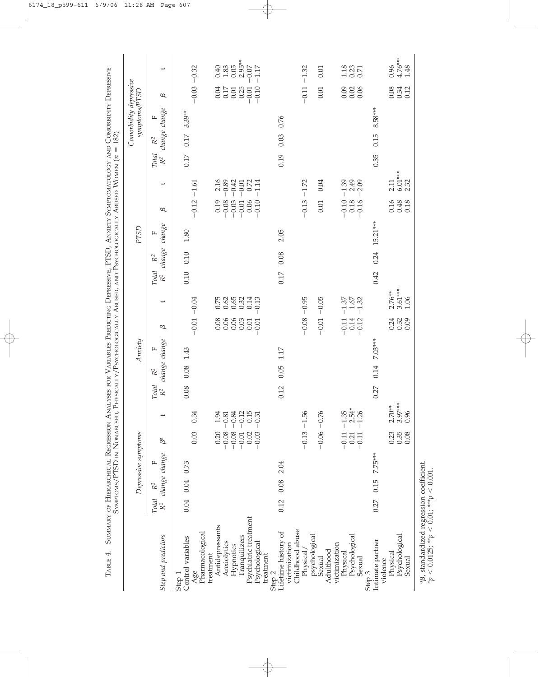| 0.34<br>$-0.12$<br>0.15<br>1.94<br>$-0.81$<br>$-0.84$<br>$-0.31$<br>$-0.08$<br>0.03<br>$-0.08$<br>0.02<br>0.20<br>$-0.03$<br>$-0.01$<br>Ba<br>change change<br>щ<br>$0.04$ 0.73<br>$0.12$ $0.08$ $2.04$<br>$\ensuremath{\mathrm{R}}^2$<br>0.04<br>Total<br>$R^2$<br>Psychiatric treatment<br>Antidepressants<br>Lifetime history of<br>Pharmacological<br>Step and predictors<br>Tranquilizers<br>Control variables<br>Anxiolytics<br>Psychological<br>Hypnotics<br>treatment<br>treatment<br>Age<br>Step 2<br>Step 1 |                                                                    |                                                              | PTSD                                                                          |                                                                                                | Comorbidity depressive<br>symptoms/PTSD                         |                                                                                               |
|-----------------------------------------------------------------------------------------------------------------------------------------------------------------------------------------------------------------------------------------------------------------------------------------------------------------------------------------------------------------------------------------------------------------------------------------------------------------------------------------------------------------------|--------------------------------------------------------------------|--------------------------------------------------------------|-------------------------------------------------------------------------------|------------------------------------------------------------------------------------------------|-----------------------------------------------------------------|-----------------------------------------------------------------------------------------------|
|                                                                                                                                                                                                                                                                                                                                                                                                                                                                                                                       | change<br>щ<br>change<br>$\mathbb{R}^2$<br>Total<br>R <sup>2</sup> | ىب<br>$\omega$                                               | change<br>$\mathbf{L}$<br>change<br>$\mathbb{R}^2$<br>Total<br>R <sup>2</sup> | ↵<br>$\omega$                                                                                  | change change<br>щ<br>$\mathbb{R}^2$<br>Total<br>R <sup>2</sup> | $\omega$                                                                                      |
|                                                                                                                                                                                                                                                                                                                                                                                                                                                                                                                       | 1.43<br>0.08<br>0.08                                               | $-0.01 - 0.04$                                               | $1.80\,$<br>0.10<br>0.10                                                      | $-0.12 - 1.61$                                                                                 | $3.39**$<br>$0.17\,$<br>0.17                                    | $-0.03 - 0.32$                                                                                |
|                                                                                                                                                                                                                                                                                                                                                                                                                                                                                                                       |                                                                    | 0.52<br>0.65<br>0.65<br>0.32<br>0.14<br>88688<br>0.01        |                                                                               | 2.16<br>$-0.89$<br>$-0.42$<br>0.72<br>$-0.01$<br>$-0.08$<br>0.06<br>0.19<br>$-0.03$<br>$-0.01$ |                                                                 | $2.95**$<br>0.05<br>1.83<br>$0.07$<br>0.40<br>$0.01$<br>$0.25$<br>0.04<br>$0.17\,$<br>$-0.01$ |
|                                                                                                                                                                                                                                                                                                                                                                                                                                                                                                                       | 1.17<br>0.05<br>0.12                                               | 0.13<br>0.01                                                 | 2.05<br>0.08<br>0.17                                                          | $-1.14$<br>$-0.10$                                                                             | 0.76<br>0.03<br>0.19                                            | $-1.17$<br>$-0.10$                                                                            |
| $-0.13 - 1.56$<br>Childhood abuse<br>victimization<br>Physical                                                                                                                                                                                                                                                                                                                                                                                                                                                        |                                                                    | $-0.08 - 0.95$                                               |                                                                               | $-1.72$<br>$-0.13$                                                                             |                                                                 | $-1.32$<br>$-0.11$                                                                            |
| $-0.06 - 0.76$<br>psychological<br>Sexual<br>Adulthood                                                                                                                                                                                                                                                                                                                                                                                                                                                                |                                                                    | $-0.05$<br>$-0.01$                                           |                                                                               | 0.04<br>0.01                                                                                   |                                                                 | 0.01<br>0.01                                                                                  |
| $2.54*$<br>$-1.35$<br>$-1.26$<br>$-0.11$<br>0.21<br>$-0.11$<br>Psychological<br>victimization<br>Physical<br>Sexual                                                                                                                                                                                                                                                                                                                                                                                                   |                                                                    | $1.67\,$<br>$-1.37$<br>$-1.32$<br>$-0.11$<br>0.14<br>$-0.12$ |                                                                               | $-1.39$<br>$2.49$<br>$2.09$<br>$-0.10$<br>$0.18\,$<br>$-0.16$                                  |                                                                 | $\frac{13}{0.23}$<br>0.09<br>$0.02$<br>$0.06$                                                 |
| 7.75***<br>0.15<br>0.27<br>Intimate partner<br>Step 3                                                                                                                                                                                                                                                                                                                                                                                                                                                                 | 7.03***<br>0.14<br>0.27                                            |                                                              | $15.21***$<br>0.24<br>0.42                                                    |                                                                                                | 8.58***<br>0.15<br>0.35                                         |                                                                                               |
| $2.70**$<br>0.96<br>0.23<br>0.35<br>0.08<br>Psychological<br>Physical<br>Sexual<br>violence                                                                                                                                                                                                                                                                                                                                                                                                                           | $3.97***$                                                          | $3.61***$<br>$2.76**$<br>1.06<br>0.24<br>0.09                |                                                                               | $6.01***$<br>2.32<br>2.11<br>0.16<br>0.48<br>0.18                                              |                                                                 | $0.96$<br>4.76***<br>1.48<br>0.08<br>0.34<br>0.12                                             |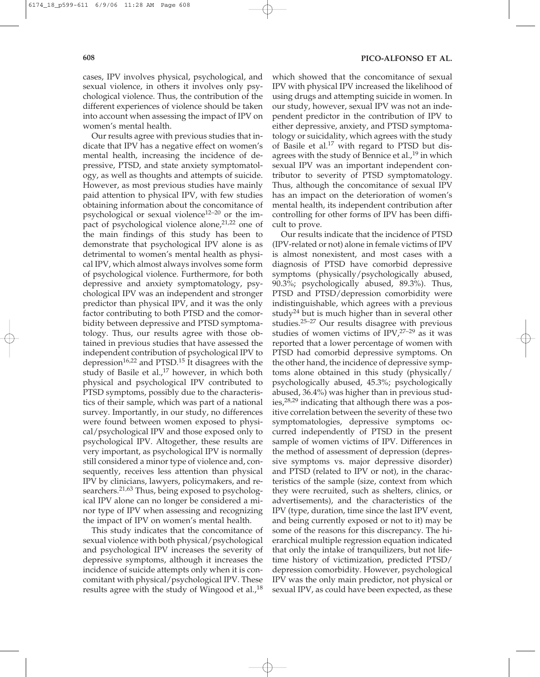cases, IPV involves physical, psychological, and sexual violence, in others it involves only psychological violence. Thus, the contribution of the different experiences of violence should be taken into account when assessing the impact of IPV on women's mental health.

Our results agree with previous studies that indicate that IPV has a negative effect on women's mental health, increasing the incidence of depressive, PTSD, and state anxiety symptomatology, as well as thoughts and attempts of suicide. However, as most previous studies have mainly paid attention to physical IPV, with few studies obtaining information about the concomitance of psychological or sexual violence<sup>12–20</sup> or the impact of psychological violence alone,<sup>21,22</sup> one of the main findings of this study has been to demonstrate that psychological IPV alone is as detrimental to women's mental health as physical IPV, which almost always involves some form of psychological violence. Furthermore, for both depressive and anxiety symptomatology, psychological IPV was an independent and stronger predictor than physical IPV, and it was the only factor contributing to both PTSD and the comorbidity between depressive and PTSD symptomatology. Thus, our results agree with those obtained in previous studies that have assessed the independent contribution of psychological IPV to depression<sup>16,22</sup> and PTSD.<sup>15</sup> It disagrees with the study of Basile et al.,<sup>17</sup> however, in which both physical and psychological IPV contributed to PTSD symptoms, possibly due to the characteristics of their sample, which was part of a national survey. Importantly, in our study, no differences were found between women exposed to physical/psychological IPV and those exposed only to psychological IPV. Altogether, these results are very important, as psychological IPV is normally still considered a minor type of violence and, consequently, receives less attention than physical IPV by clinicians, lawyers, policymakers, and researchers. $2^{1,63}$  Thus, being exposed to psychological IPV alone can no longer be considered a minor type of IPV when assessing and recognizing the impact of IPV on women's mental health.

This study indicates that the concomitance of sexual violence with both physical/psychological and psychological IPV increases the severity of depressive symptoms, although it increases the incidence of suicide attempts only when it is concomitant with physical/psychological IPV. These results agree with the study of Wingood et al.,<sup>18</sup>

which showed that the concomitance of sexual IPV with physical IPV increased the likelihood of using drugs and attempting suicide in women. In our study, however, sexual IPV was not an independent predictor in the contribution of IPV to either depressive, anxiety, and PTSD symptomatology or suicidality, which agrees with the study of Basile et al.<sup>17</sup> with regard to PTSD but disagrees with the study of Bennice et al., $19$  in which sexual IPV was an important independent contributor to severity of PTSD symptomatology. Thus, although the concomitance of sexual IPV has an impact on the deterioration of women's mental health, its independent contribution after controlling for other forms of IPV has been difficult to prove.

Our results indicate that the incidence of PTSD (IPV-related or not) alone in female victims of IPV is almost nonexistent, and most cases with a diagnosis of PTSD have comorbid depressive symptoms (physically/psychologically abused, 90.3%; psychologically abused, 89.3%). Thus, PTSD and PTSD/depression comorbidity were indistinguishable, which agrees with a previous study<sup>24</sup> but is much higher than in several other studies.25–27 Our results disagree with previous studies of women victims of  $IPV<sub>1</sub><sup>27-29</sup>$  as it was reported that a lower percentage of women with PTSD had comorbid depressive symptoms. On the other hand, the incidence of depressive symptoms alone obtained in this study (physically/ psychologically abused, 45.3%; psychologically abused, 36.4%) was higher than in previous studies,<sup>28,29</sup> indicating that although there was a positive correlation between the severity of these two symptomatologies, depressive symptoms occurred independently of PTSD in the present sample of women victims of IPV. Differences in the method of assessment of depression (depressive symptoms vs. major depressive disorder) and PTSD (related to IPV or not), in the characteristics of the sample (size, context from which they were recruited, such as shelters, clinics, or advertisements), and the characteristics of the IPV (type, duration, time since the last IPV event, and being currently exposed or not to it) may be some of the reasons for this discrepancy. The hierarchical multiple regression equation indicated that only the intake of tranquilizers, but not lifetime history of victimization, predicted PTSD/ depression comorbidity. However, psychological IPV was the only main predictor, not physical or sexual IPV, as could have been expected, as these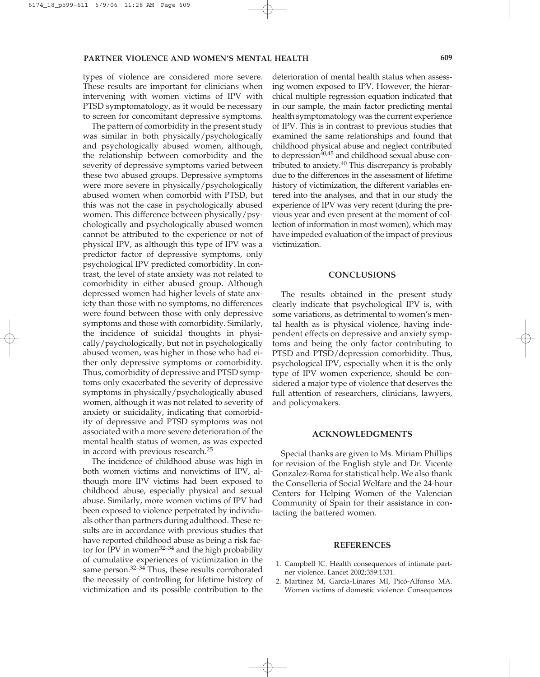types of violence are considered more severe. These results are important for clinicians when intervening with women victims of IPV with PTSD symptomatology, as it would be necessary to screen for concomitant depressive symptoms.

The pattern of comorbidity in the present study was similar in both physically/psychologically and psychologically abused women, although, the relationship between comorbidity and the severity of depressive symptoms varied between these two abused groups. Depressive symptoms were more severe in physically/psychologically abused women when comorbid with PTSD, but this was not the case in psychologically abused women. This difference between physically/psychologically and psychologically abused women cannot be attributed to the experience or not of physical IPV, as although this type of IPV was a predictor factor of depressive symptoms, only psychological IPV predicted comorbidity. In contrast, the level of state anxiety was not related to comorbidity in either abused group. Although depressed women had higher levels of state anxiety than those with no symptoms, no differences were found between those with only depressive symptoms and those with comorbidity. Similarly, the incidence of suicidal thoughts in physically/psychologically, but not in psychologically abused women, was higher in those who had either only depressive symptoms or comorbidity. Thus, comorbidity of depressive and PTSD symptoms only exacerbated the severity of depressive symptoms in physically/psychologically abused women, although it was not related to severity of anxiety or suicidality, indicating that comorbidity of depressive and PTSD symptoms was not associated with a more severe deterioration of the mental health status of women, as was expected in accord with previous research.25

The incidence of childhood abuse was high in both women victims and nonvictims of IPV, although more IPV victims had been exposed to childhood abuse, especially physical and sexual abuse. Similarly, more women victims of IPV had been exposed to violence perpetrated by individuals other than partners during adulthood. These results are in accordance with previous studies that have reported childhood abuse as being a risk factor for IPV in women<sup>32–34</sup> and the high probability of cumulative experiences of victimization in the same person.<sup>32–34</sup> Thus, these results corroborated the necessity of controlling for lifetime history of victimization and its possible contribution to the

deterioration of mental health status when assessing women exposed to IPV. However, the hierarchical multiple regression equation indicated that in our sample, the main factor predicting mental health symptomatology was the current experience of IPV. This is in contrast to previous studies that examined the same relationships and found that childhood physical abuse and neglect contributed to depression<sup>40,45</sup> and childhood sexual abuse contributed to anxiety. $40$  This discrepancy is probably due to the differences in the assessment of lifetime history of victimization, the different variables entered into the analyses, and that in our study the experience of IPV was very recent (during the previous year and even present at the moment of collection of information in most women), which may have impeded evaluation of the impact of previous victimization.

#### **CONCLUSIONS**

The results obtained in the present study clearly indicate that psychological IPV is, with some variations, as detrimental to women's mental health as is physical violence, having independent effects on depressive and anxiety symptoms and being the only factor contributing to PTSD and PTSD/depression comorbidity. Thus, psychological IPV, especially when it is the only type of IPV women experience, should be considered a major type of violence that deserves the full attention of researchers, clinicians, lawyers, and policymakers.

## **ACKNOWLEDGMENTS**

Special thanks are given to Ms. Miriam Phillips for revision of the English style and Dr. Vicente Gonzalez-Roma for statistical help. We also thank the Conselleria of Social Welfare and the 24-hour Centers for Helping Women of the Valencian Community of Spain for their assistance in contacting the battered women.

#### **REFERENCES**

- 1. Campbell JC. Health consequences of intimate partner violence. Lancet 2002;359:1331.
- 2. Martínez M, García-Linares MI, Picó-Alfonso MA. Women victims of domestic violence: Consequences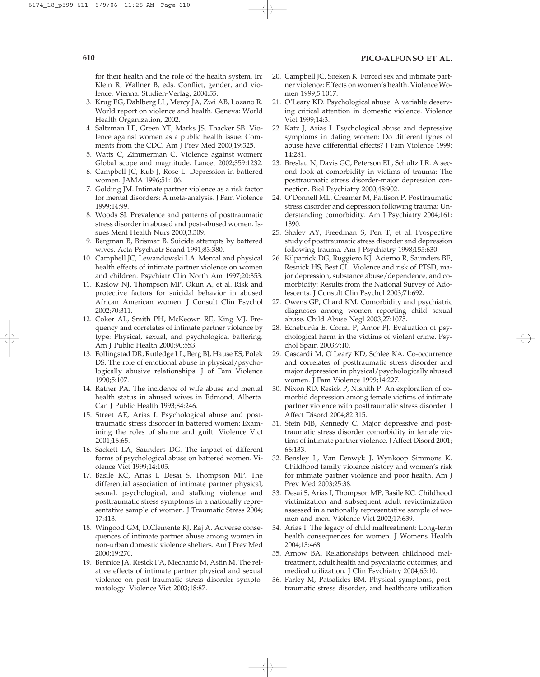for their health and the role of the health system. In: Klein R, Wallner B, eds. Conflict, gender, and violence. Vienna: Studien-Verlag, 2004:55.

- 3. Krug EG, Dahlberg LL, Mercy JA, Zwi AB, Lozano R. World report on violence and health. Geneva: World Health Organization, 2002.
- 4. Saltzman LE, Green YT, Marks JS, Thacker SB. Violence against women as a public health issue: Comments from the CDC. Am J Prev Med 2000;19:325.
- 5. Watts C, Zimmerman C. Violence against women: Global scope and magnitude. Lancet 2002;359:1232.
- 6. Campbell JC, Kub J, Rose L. Depression in battered women. JAMA 1996;51:106.
- 7. Golding JM. Intimate partner violence as a risk factor for mental disorders: A meta-analysis. J Fam Violence 1999;14:99.
- 8. Woods SJ. Prevalence and patterns of posttraumatic stress disorder in abused and post-abused women. Issues Ment Health Nurs 2000;3:309.
- 9. Bergman B, Brismar B. Suicide attempts by battered wives. Acta Psychiatr Scand 1991;83:380.
- 10. Campbell JC, Lewandowski LA. Mental and physical health effects of intimate partner violence on women and children. Psychiatr Clin North Am 1997;20:353.
- 11. Kaslow NJ, Thompson MP, Okun A, et al. Risk and protective factors for suicidal behavior in abused African American women. J Consult Clin Psychol 2002;70:311.
- 12. Coker AL, Smith PH, McKeown RE, King MJ. Frequency and correlates of intimate partner violence by type: Physical, sexual, and psychological battering. Am J Public Health 2000;90:553.
- 13. Follingstad DR, Rutledge LL, Berg BJ, Hause ES, Polek DS. The role of emotional abuse in physical/psychologically abusive relationships. J of Fam Violence 1990;5:107.
- 14. Ratner PA. The incidence of wife abuse and mental health status in abused wives in Edmond, Alberta. Can J Public Health 1993;84:246.
- 15. Street AE, Arias I. Psychological abuse and posttraumatic stress disorder in battered women: Examining the roles of shame and guilt. Violence Vict 2001;16:65.
- 16. Sackett LA, Saunders DG. The impact of different forms of psychological abuse on battered women. Violence Vict 1999;14:105.
- 17. Basile KC, Arias I, Desai S, Thompson MP. The differential association of intimate partner physical, sexual, psychological, and stalking violence and posttraumatic stress symptoms in a nationally representative sample of women. J Traumatic Stress 2004; 17:413.
- 18. Wingood GM, DiClemente RJ, Raj A. Adverse consequences of intimate partner abuse among women in non-urban domestic violence shelters. Am J Prev Med 2000;19:270.
- 19. Bennice JA, Resick PA, Mechanic M, Astin M. The relative effects of intimate partner physical and sexual violence on post-traumatic stress disorder symptomatology. Violence Vict 2003;18:87.
- 20. Campbell JC, Soeken K. Forced sex and intimate partner violence: Effects on women's health. Violence Women 1999;5:1017.
- 21. O'Leary KD. Psychological abuse: A variable deserving critical attention in domestic violence. Violence Vict 1999;14:3.
- 22. Katz J, Arias I. Psychological abuse and depressive symptoms in dating women: Do different types of abuse have differential effects? J Fam Violence 1999; 14:281.
- 23. Breslau N, Davis GC, Peterson EL, Schultz LR. A second look at comorbidity in victims of trauma: The posttraumatic stress disorder-major depression connection. Biol Psychiatry 2000;48:902.
- 24. O'Donnell ML, Creamer M, Pattison P. Posttraumatic stress disorder and depression following trauma: Understanding comorbidity. Am J Psychiatry 2004;161: 1390.
- 25. Shalev AY, Freedman S, Pen T, et al. Prospective study of posttraumatic stress disorder and depression following trauma. Am J Psychiatry 1998;155:630.
- 26. Kilpatrick DG, Ruggiero KJ, Acierno R, Saunders BE, Resnick HS, Best CL. Violence and risk of PTSD, major depression, substance abuse/dependence, and comorbidity: Results from the National Survey of Adolescents. J Consult Clin Psychol 2003;71:692.
- 27. Owens GP, Chard KM. Comorbidity and psychiatric diagnoses among women reporting child sexual abuse. Child Abuse Negl 2003;27:1075.
- 28. Echeburúa E, Corral P, Amor PJ. Evaluation of psychological harm in the victims of violent crime. Psychol Spain 2003;7:10.
- 29. Cascardi M, O`Leary KD, Schlee KA. Co-occurrence and correlates of posttraumatic stress disorder and major depression in physical/psychologically abused women. J Fam Violence 1999;14:227.
- 30. Nixon RD, Resick P, Nishith P. An exploration of comorbid depression among female victims of intimate partner violence with posttraumatic stress disorder. J Affect Disord 2004;82:315.
- 31. Stein MB, Kennedy C. Major depressive and posttraumatic stress disorder comorbidity in female victims of intimate partner violence. J Affect Disord 2001; 66:133.
- 32. Bensley L, Van Eenwyk J, Wynkoop Simmons K. Childhood family violence history and women's risk for intimate partner violence and poor health. Am J Prev Med 2003;25:38.
- 33. Desai S, Arias I, Thompson MP, Basile KC. Childhood victimization and subsequent adult revictimization assessed in a nationally representative sample of women and men. Violence Vict 2002;17:639.
- 34. Arias I. The legacy of child maltreatment: Long-term health consequences for women. J Womens Health 2004;13:468.
- 35. Arnow BA. Relationships between childhood maltreatment, adult health and psychiatric outcomes, and medical utilization. J Clin Psychiatry 2004;65:10.
- 36. Farley M, Patsalides BM. Physical symptoms, posttraumatic stress disorder, and healthcare utilization